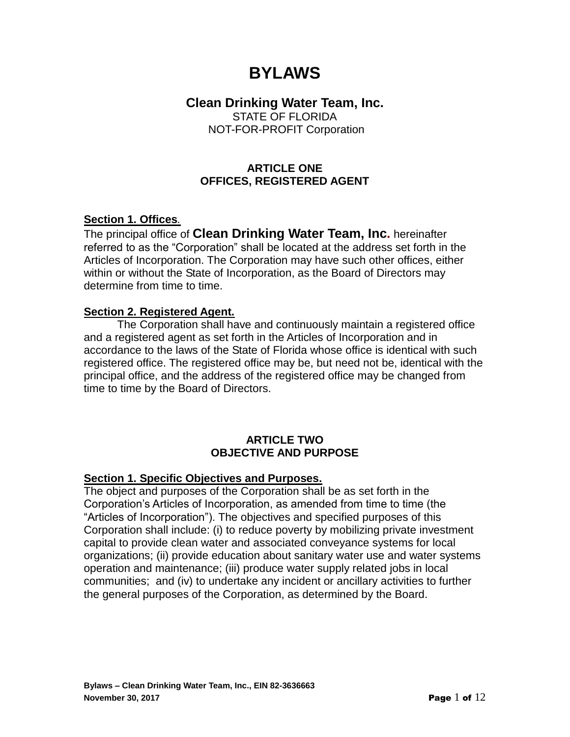# **BYLAWS**

## **Clean Drinking Water Team, Inc.**

STATE OF FLORIDA NOT-FOR-PROFIT Corporation

## **ARTICLE ONE OFFICES, REGISTERED AGENT**

## **Section 1. Offices***.*

The principal office of **Clean Drinking Water Team, Inc.** hereinafter referred to as the "Corporation" shall be located at the address set forth in the Articles of Incorporation. The Corporation may have such other offices, either within or without the State of Incorporation, as the Board of Directors may determine from time to time.

## **Section 2. Registered Agent.**

The Corporation shall have and continuously maintain a registered office and a registered agent as set forth in the Articles of Incorporation and in accordance to the laws of the State of Florida whose office is identical with such registered office. The registered office may be, but need not be, identical with the principal office, and the address of the registered office may be changed from time to time by the Board of Directors.

#### **ARTICLE TWO OBJECTIVE AND PURPOSE**

#### **Section 1. Specific Objectives and Purposes.**

The object and purposes of the Corporation shall be as set forth in the Corporation's Articles of Incorporation, as amended from time to time (the "Articles of Incorporation"). The objectives and specified purposes of this Corporation shall include: (i) to reduce poverty by mobilizing private investment capital to provide clean water and associated conveyance systems for local organizations; (ii) provide education about sanitary water use and water systems operation and maintenance; (iii) produce water supply related jobs in local communities; and (iv) to undertake any incident or ancillary activities to further the general purposes of the Corporation, as determined by the Board.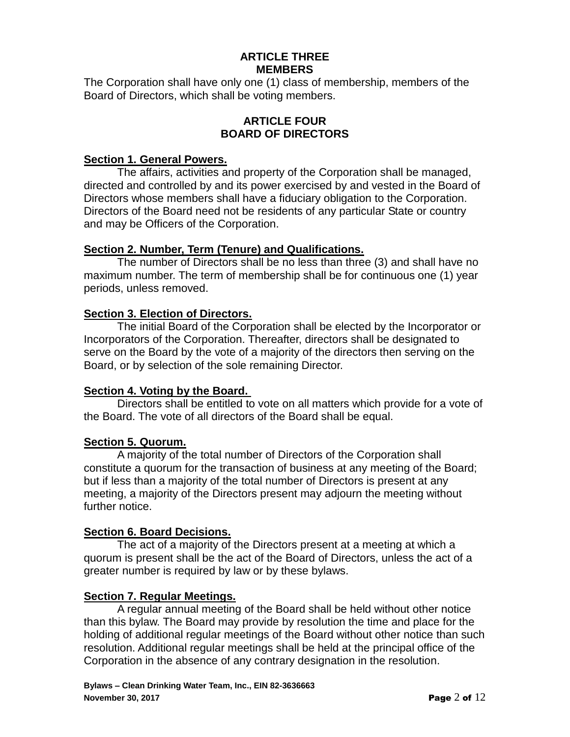## **ARTICLE THREE MEMBERS**

The Corporation shall have only one (1) class of membership, members of the Board of Directors, which shall be voting members.

#### **ARTICLE FOUR BOARD OF DIRECTORS**

#### **Section 1. General Powers.**

The affairs, activities and property of the Corporation shall be managed, directed and controlled by and its power exercised by and vested in the Board of Directors whose members shall have a fiduciary obligation to the Corporation. Directors of the Board need not be residents of any particular State or country and may be Officers of the Corporation.

## **Section 2. Number, Term (Tenure) and Qualifications.**

The number of Directors shall be no less than three (3) and shall have no maximum number. The term of membership shall be for continuous one (1) year periods, unless removed.

## **Section 3. Election of Directors.**

The initial Board of the Corporation shall be elected by the Incorporator or Incorporators of the Corporation. Thereafter, directors shall be designated to serve on the Board by the vote of a majority of the directors then serving on the Board, or by selection of the sole remaining Director.

## **Section 4. Voting by the Board.**

Directors shall be entitled to vote on all matters which provide for a vote of the Board. The vote of all directors of the Board shall be equal.

## **Section 5. Quorum.**

A majority of the total number of Directors of the Corporation shall constitute a quorum for the transaction of business at any meeting of the Board; but if less than a majority of the total number of Directors is present at any meeting, a majority of the Directors present may adjourn the meeting without further notice.

#### **Section 6. Board Decisions.**

The act of a majority of the Directors present at a meeting at which a quorum is present shall be the act of the Board of Directors, unless the act of a greater number is required by law or by these bylaws.

#### **Section 7. Regular Meetings.**

A regular annual meeting of the Board shall be held without other notice than this bylaw. The Board may provide by resolution the time and place for the holding of additional regular meetings of the Board without other notice than such resolution. Additional regular meetings shall be held at the principal office of the Corporation in the absence of any contrary designation in the resolution.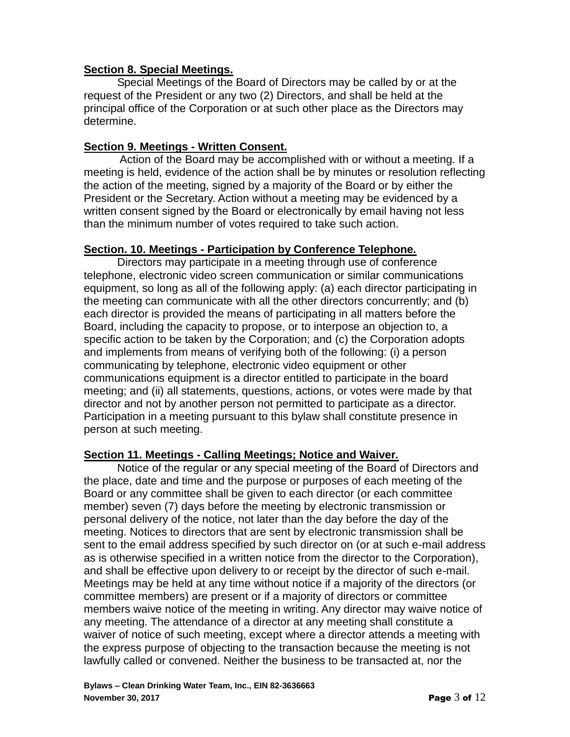## **Section 8. Special Meetings.**

Special Meetings of the Board of Directors may be called by or at the request of the President or any two (2) Directors, and shall be held at the principal office of the Corporation or at such other place as the Directors may determine.

## **Section 9. Meetings - Written Consent.**

Action of the Board may be accomplished with or without a meeting. If a meeting is held, evidence of the action shall be by minutes or resolution reflecting the action of the meeting, signed by a majority of the Board or by either the President or the Secretary. Action without a meeting may be evidenced by a written consent signed by the Board or electronically by email having not less than the minimum number of votes required to take such action.

## **Section. 10. Meetings - Participation by Conference Telephone***.*

Directors may participate in a meeting through use of conference telephone, electronic video screen communication or similar communications equipment, so long as all of the following apply: (a) each director participating in the meeting can communicate with all the other directors concurrently; and (b) each director is provided the means of participating in all matters before the Board, including the capacity to propose, or to interpose an objection to, a specific action to be taken by the Corporation; and (c) the Corporation adopts and implements from means of verifying both of the following: (i) a person communicating by telephone, electronic video equipment or other communications equipment is a director entitled to participate in the board meeting; and (ii) all statements, questions, actions, or votes were made by that director and not by another person not permitted to participate as a director. Participation in a meeting pursuant to this bylaw shall constitute presence in person at such meeting.

#### **Section 11. Meetings - Calling Meetings; Notice and Waiver***.*

Notice of the regular or any special meeting of the Board of Directors and the place, date and time and the purpose or purposes of each meeting of the Board or any committee shall be given to each director (or each committee member) seven (7) days before the meeting by electronic transmission or personal delivery of the notice, not later than the day before the day of the meeting. Notices to directors that are sent by electronic transmission shall be sent to the email address specified by such director on (or at such e-mail address as is otherwise specified in a written notice from the director to the Corporation), and shall be effective upon delivery to or receipt by the director of such e-mail. Meetings may be held at any time without notice if a majority of the directors (or committee members) are present or if a majority of directors or committee members waive notice of the meeting in writing. Any director may waive notice of any meeting. The attendance of a director at any meeting shall constitute a waiver of notice of such meeting, except where a director attends a meeting with the express purpose of objecting to the transaction because the meeting is not lawfully called or convened. Neither the business to be transacted at, nor the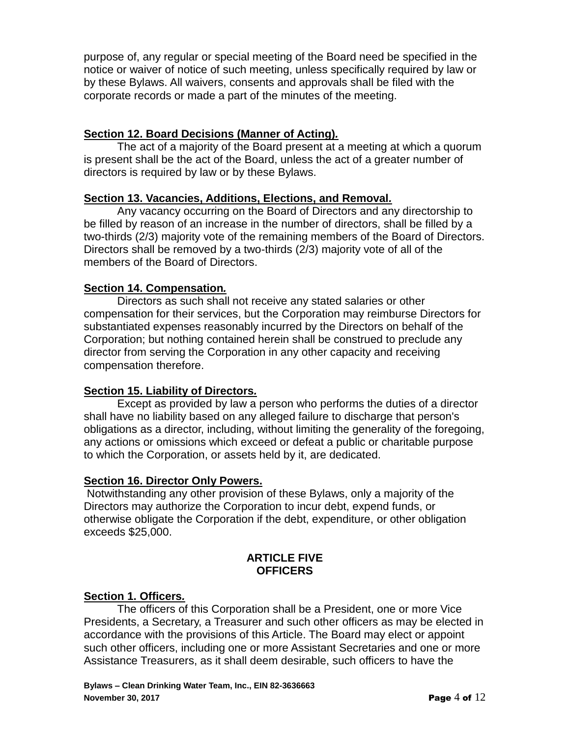purpose of, any regular or special meeting of the Board need be specified in the notice or waiver of notice of such meeting, unless specifically required by law or by these Bylaws. All waivers, consents and approvals shall be filed with the corporate records or made a part of the minutes of the meeting.

## **Section 12. Board Decisions (Manner of Acting)***.*

The act of a majority of the Board present at a meeting at which a quorum is present shall be the act of the Board, unless the act of a greater number of directors is required by law or by these Bylaws.

#### **Section 13. Vacancies, Additions, Elections, and Removal***.*

Any vacancy occurring on the Board of Directors and any directorship to be filled by reason of an increase in the number of directors, shall be filled by a two-thirds (2/3) majority vote of the remaining members of the Board of Directors. Directors shall be removed by a two-thirds (2/3) majority vote of all of the members of the Board of Directors.

## **Section 14. Compensation***.*

Directors as such shall not receive any stated salaries or other compensation for their services, but the Corporation may reimburse Directors for substantiated expenses reasonably incurred by the Directors on behalf of the Corporation; but nothing contained herein shall be construed to preclude any director from serving the Corporation in any other capacity and receiving compensation therefore.

#### **Section 15. Liability of Directors***.*

Except as provided by law a person who performs the duties of a director shall have no liability based on any alleged failure to discharge that person's obligations as a director, including, without limiting the generality of the foregoing, any actions or omissions which exceed or defeat a public or charitable purpose to which the Corporation, or assets held by it, are dedicated.

#### **Section 16. Director Only Powers.**

Notwithstanding any other provision of these Bylaws, only a majority of the Directors may authorize the Corporation to incur debt, expend funds, or otherwise obligate the Corporation if the debt, expenditure, or other obligation exceeds \$25,000.

#### **ARTICLE FIVE OFFICERS**

#### **Section 1. Officers***.*

The officers of this Corporation shall be a President, one or more Vice Presidents, a Secretary, a Treasurer and such other officers as may be elected in accordance with the provisions of this Article. The Board may elect or appoint such other officers, including one or more Assistant Secretaries and one or more Assistance Treasurers, as it shall deem desirable, such officers to have the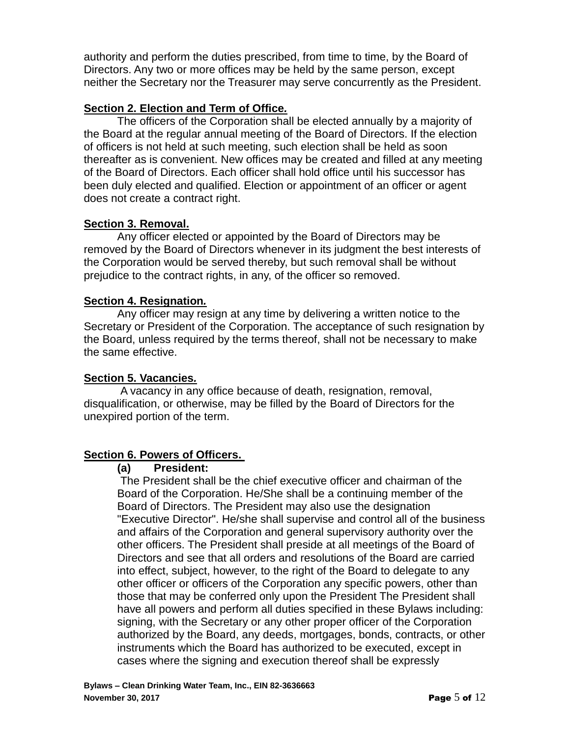authority and perform the duties prescribed, from time to time, by the Board of Directors. Any two or more offices may be held by the same person, except neither the Secretary nor the Treasurer may serve concurrently as the President.

## **Section 2. Election and Term of Office***.*

The officers of the Corporation shall be elected annually by a majority of the Board at the regular annual meeting of the Board of Directors. If the election of officers is not held at such meeting, such election shall be held as soon thereafter as is convenient. New offices may be created and filled at any meeting of the Board of Directors. Each officer shall hold office until his successor has been duly elected and qualified. Election or appointment of an officer or agent does not create a contract right.

## **Section 3. Removal.**

Any officer elected or appointed by the Board of Directors may be removed by the Board of Directors whenever in its judgment the best interests of the Corporation would be served thereby, but such removal shall be without prejudice to the contract rights, in any, of the officer so removed.

## **Section 4. Resignation***.*

Any officer may resign at any time by delivering a written notice to the Secretary or President of the Corporation. The acceptance of such resignation by the Board, unless required by the terms thereof, shall not be necessary to make the same effective.

## **Section 5. Vacancies***.*

A vacancy in any office because of death, resignation, removal, disqualification, or otherwise, may be filled by the Board of Directors for the unexpired portion of the term.

## **Section 6. Powers of Officers.**

#### **(a) President:**

The President shall be the chief executive officer and chairman of the Board of the Corporation. He/She shall be a continuing member of the Board of Directors. The President may also use the designation "Executive Director". He/she shall supervise and control all of the business and affairs of the Corporation and general supervisory authority over the other officers. The President shall preside at all meetings of the Board of Directors and see that all orders and resolutions of the Board are carried into effect, subject, however, to the right of the Board to delegate to any other officer or officers of the Corporation any specific powers, other than those that may be conferred only upon the President The President shall have all powers and perform all duties specified in these Bylaws including: signing, with the Secretary or any other proper officer of the Corporation authorized by the Board, any deeds, mortgages, bonds, contracts, or other instruments which the Board has authorized to be executed, except in cases where the signing and execution thereof shall be expressly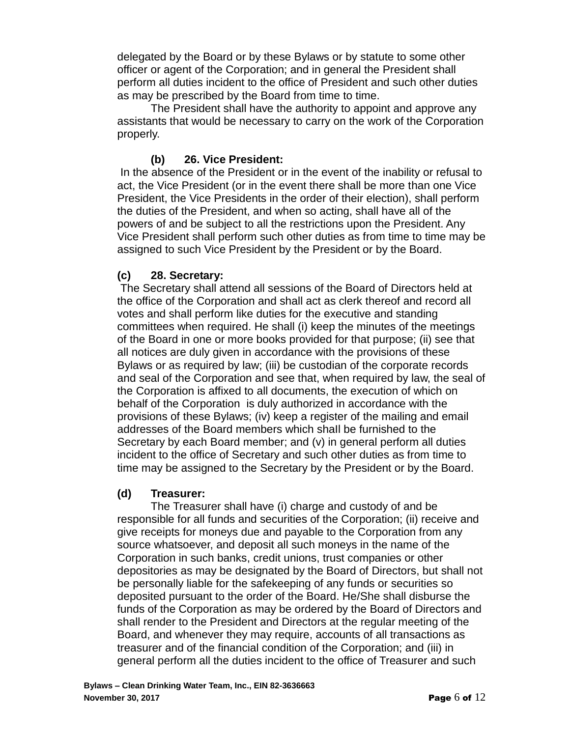delegated by the Board or by these Bylaws or by statute to some other officer or agent of the Corporation; and in general the President shall perform all duties incident to the office of President and such other duties as may be prescribed by the Board from time to time.

The President shall have the authority to appoint and approve any assistants that would be necessary to carry on the work of the Corporation properly.

## **(b) 26. Vice President:**

In the absence of the President or in the event of the inability or refusal to act, the Vice President (or in the event there shall be more than one Vice President, the Vice Presidents in the order of their election), shall perform the duties of the President, and when so acting, shall have all of the powers of and be subject to all the restrictions upon the President. Any Vice President shall perform such other duties as from time to time may be assigned to such Vice President by the President or by the Board.

## **(c) 28. Secretary:**

The Secretary shall attend all sessions of the Board of Directors held at the office of the Corporation and shall act as clerk thereof and record all votes and shall perform like duties for the executive and standing committees when required. He shall (i) keep the minutes of the meetings of the Board in one or more books provided for that purpose; (ii) see that all notices are duly given in accordance with the provisions of these Bylaws or as required by law; (iii) be custodian of the corporate records and seal of the Corporation and see that, when required by law, the seal of the Corporation is affixed to all documents, the execution of which on behalf of the Corporation is duly authorized in accordance with the provisions of these Bylaws; (iv) keep a register of the mailing and email addresses of the Board members which shaIl be furnished to the Secretary by each Board member; and (v) in general perform all duties incident to the office of Secretary and such other duties as from time to time may be assigned to the Secretary by the President or by the Board.

#### **(d) Treasurer:**

The Treasurer shall have (i) charge and custody of and be responsible for all funds and securities of the Corporation; (ii) receive and give receipts for moneys due and payable to the Corporation from any source whatsoever, and deposit all such moneys in the name of the Corporation in such banks, credit unions, trust companies or other depositories as may be designated by the Board of Directors, but shall not be personally liable for the safekeeping of any funds or securities so deposited pursuant to the order of the Board. He/She shall disburse the funds of the Corporation as may be ordered by the Board of Directors and shall render to the President and Directors at the regular meeting of the Board, and whenever they may require, accounts of all transactions as treasurer and of the financial condition of the Corporation; and (iii) in general perform all the duties incident to the office of Treasurer and such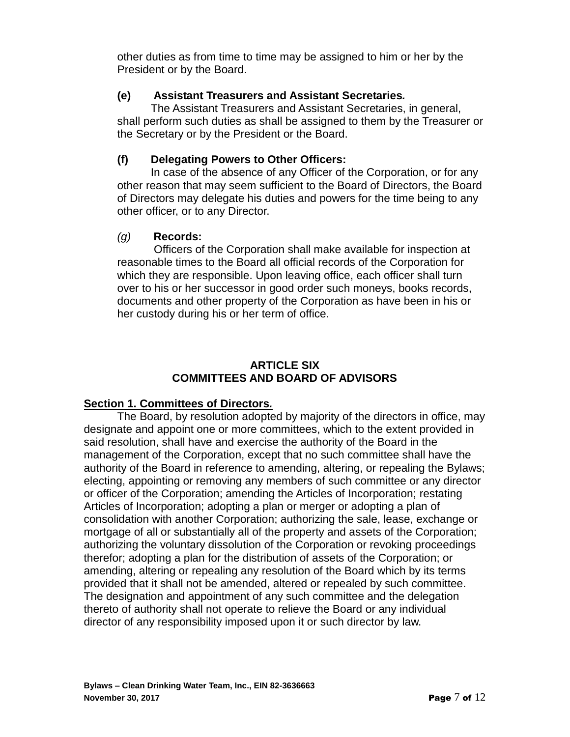other duties as from time to time may be assigned to him or her by the President or by the Board.

## **(e) Assistant Treasurers and Assistant Secretaries***.*

The Assistant Treasurers and Assistant Secretaries, in general, shall perform such duties as shall be assigned to them by the Treasurer or the Secretary or by the President or the Board.

## **(f) Delegating Powers to Other Officers:**

In case of the absence of any Officer of the Corporation, or for any other reason that may seem sufficient to the Board of Directors, the Board of Directors may delegate his duties and powers for the time being to any other officer, or to any Director.

## *(g)* **Records:**

Officers of the Corporation shall make available for inspection at reasonable times to the Board all official records of the Corporation for which they are responsible. Upon leaving office, each officer shall turn over to his or her successor in good order such moneys, books records, documents and other property of the Corporation as have been in his or her custody during his or her term of office.

## **ARTICLE SIX COMMITTEES AND BOARD OF ADVISORS**

## **Section 1. Committees of Directors***.*

The Board, by resolution adopted by majority of the directors in office, may designate and appoint one or more committees, which to the extent provided in said resolution, shall have and exercise the authority of the Board in the management of the Corporation, except that no such committee shall have the authority of the Board in reference to amending, altering, or repealing the Bylaws; electing, appointing or removing any members of such committee or any director or officer of the Corporation; amending the Articles of Incorporation; restating Articles of Incorporation; adopting a plan or merger or adopting a plan of consolidation with another Corporation; authorizing the sale, lease, exchange or mortgage of all or substantially all of the property and assets of the Corporation; authorizing the voluntary dissolution of the Corporation or revoking proceedings therefor; adopting a plan for the distribution of assets of the Corporation; or amending, altering or repealing any resolution of the Board which by its terms provided that it shall not be amended, altered or repealed by such committee. The designation and appointment of any such committee and the delegation thereto of authority shall not operate to relieve the Board or any individual director of any responsibility imposed upon it or such director by law.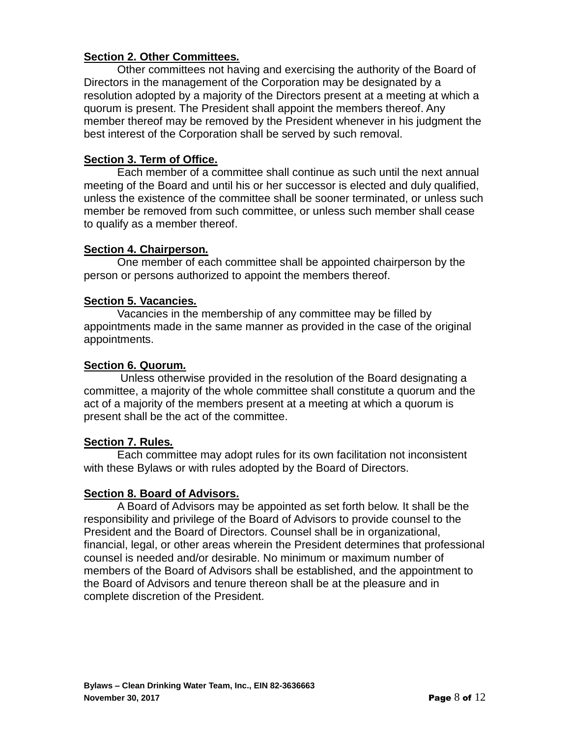## **Section 2. Other Committees***.*

Other committees not having and exercising the authority of the Board of Directors in the management of the Corporation may be designated by a resolution adopted by a majority of the Directors present at a meeting at which a quorum is present. The President shall appoint the members thereof. Any member thereof may be removed by the President whenever in his judgment the best interest of the Corporation shall be served by such removal.

#### **Section 3. Term of Office.**

Each member of a committee shall continue as such until the next annual meeting of the Board and until his or her successor is elected and duly qualified, unless the existence of the committee shall be sooner terminated, or unless such member be removed from such committee, or unless such member shall cease to qualify as a member thereof.

#### **Section 4. Chairperson***.*

One member of each committee shall be appointed chairperson by the person or persons authorized to appoint the members thereof.

## **Section 5. Vacancies***.*

Vacancies in the membership of any committee may be filled by appointments made in the same manner as provided in the case of the original appointments.

#### **Section 6. Quorum***.*

Unless otherwise provided in the resolution of the Board designating a committee, a majority of the whole committee shall constitute a quorum and the act of a majority of the members present at a meeting at which a quorum is present shall be the act of the committee.

#### **Section 7. Rules***.*

Each committee may adopt rules for its own facilitation not inconsistent with these Bylaws or with rules adopted by the Board of Directors.

#### **Section 8. Board of Advisors.**

A Board of Advisors may be appointed as set forth below. It shall be the responsibility and privilege of the Board of Advisors to provide counsel to the President and the Board of Directors. Counsel shall be in organizational, financial, legal, or other areas wherein the President determines that professional counsel is needed and/or desirable. No minimum or maximum number of members of the Board of Advisors shall be established, and the appointment to the Board of Advisors and tenure thereon shall be at the pleasure and in complete discretion of the President.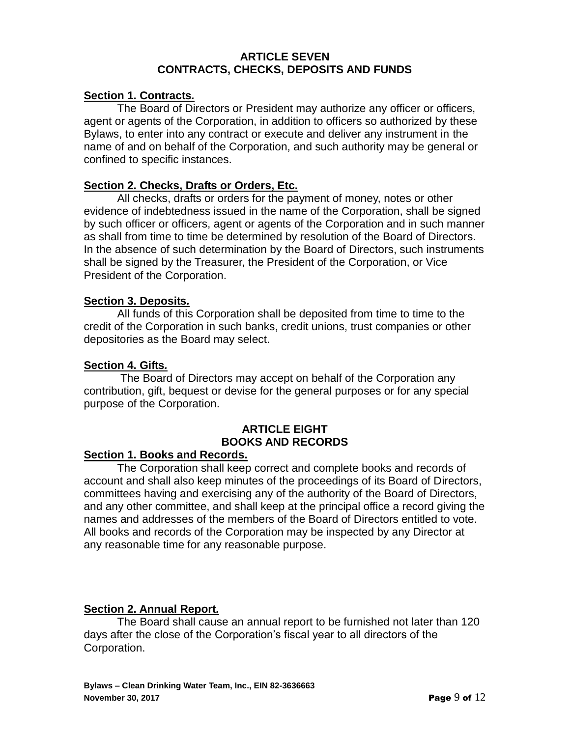#### **ARTICLE SEVEN CONTRACTS, CHECKS, DEPOSITS AND FUNDS**

## **Section 1. Contracts***.*

The Board of Directors or President may authorize any officer or officers, agent or agents of the Corporation, in addition to officers so authorized by these Bylaws, to enter into any contract or execute and deliver any instrument in the name of and on behalf of the Corporation, and such authority may be general or confined to specific instances.

#### **Section 2. Checks, Drafts or Orders, Etc.**

All checks, drafts or orders for the payment of money, notes or other evidence of indebtedness issued in the name of the Corporation, shall be signed by such officer or officers, agent or agents of the Corporation and in such manner as shall from time to time be determined by resolution of the Board of Directors. In the absence of such determination by the Board of Directors, such instruments shall be signed by the Treasurer, the President of the Corporation, or Vice President of the Corporation.

#### **Section 3. Deposits***.*

All funds of this Corporation shall be deposited from time to time to the credit of the Corporation in such banks, credit unions, trust companies or other depositories as the Board may select.

#### **Section 4. Gifts***.*

The Board of Directors may accept on behalf of the Corporation any contribution, gift, bequest or devise for the general purposes or for any special purpose of the Corporation.

## **ARTICLE EIGHT BOOKS AND RECORDS**

#### **Section 1. Books and Records.**

The Corporation shall keep correct and complete books and records of account and shall also keep minutes of the proceedings of its Board of Directors, committees having and exercising any of the authority of the Board of Directors, and any other committee, and shall keep at the principal office a record giving the names and addresses of the members of the Board of Directors entitled to vote. All books and records of the Corporation may be inspected by any Director at any reasonable time for any reasonable purpose.

#### **Section 2. Annual Report***.*

The Board shall cause an annual report to be furnished not later than 120 days after the close of the Corporation's fiscal year to all directors of the Corporation.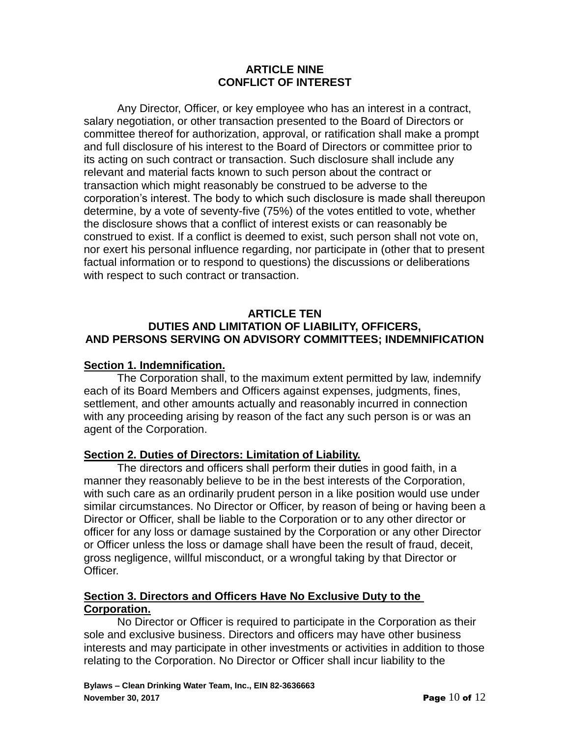## **ARTICLE NINE CONFLICT OF INTEREST**

Any Director, Officer, or key employee who has an interest in a contract, salary negotiation, or other transaction presented to the Board of Directors or committee thereof for authorization, approval, or ratification shall make a prompt and full disclosure of his interest to the Board of Directors or committee prior to its acting on such contract or transaction. Such disclosure shall include any relevant and material facts known to such person about the contract or transaction which might reasonably be construed to be adverse to the corporation's interest. The body to which such disclosure is made shall thereupon determine, by a vote of seventy-five (75%) of the votes entitled to vote, whether the disclosure shows that a conflict of interest exists or can reasonably be construed to exist. If a conflict is deemed to exist, such person shall not vote on, nor exert his personal influence regarding, nor participate in (other that to present factual information or to respond to questions) the discussions or deliberations with respect to such contract or transaction.

## **ARTICLE TEN DUTIES AND LIMITATION OF LIABILITY, OFFICERS, AND PERSONS SERVING ON ADVISORY COMMITTEES; INDEMNIFICATION**

## **Section 1. Indemnification.**

The Corporation shall, to the maximum extent permitted by law, indemnify each of its Board Members and Officers against expenses, judgments, fines, settlement, and other amounts actually and reasonably incurred in connection with any proceeding arising by reason of the fact any such person is or was an agent of the Corporation.

#### **Section 2. Duties of Directors: Limitation of Liability.**

The directors and officers shall perform their duties in good faith, in a manner they reasonably believe to be in the best interests of the Corporation, with such care as an ordinarily prudent person in a like position would use under similar circumstances. No Director or Officer, by reason of being or having been a Director or Officer, shall be liable to the Corporation or to any other director or officer for any loss or damage sustained by the Corporation or any other Director or Officer unless the loss or damage shall have been the result of fraud, deceit, gross negligence, willful misconduct, or a wrongful taking by that Director or **Officer** 

#### **Section 3. Directors and Officers Have No Exclusive Duty to the Corporation.**

No Director or Officer is required to participate in the Corporation as their sole and exclusive business. Directors and officers may have other business interests and may participate in other investments or activities in addition to those relating to the Corporation. No Director or Officer shall incur liability to the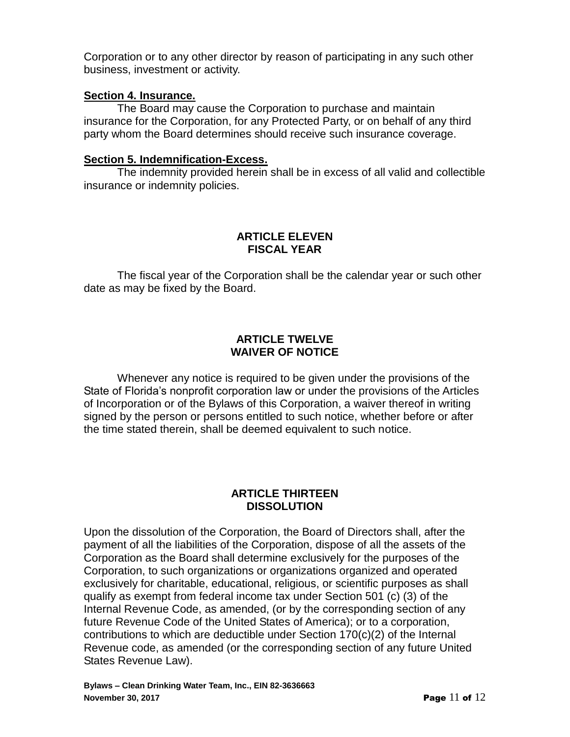Corporation or to any other director by reason of participating in any such other business, investment or activity.

## **Section 4. Insurance.**

The Board may cause the Corporation to purchase and maintain insurance for the Corporation, for any Protected Party, or on behalf of any third party whom the Board determines should receive such insurance coverage.

#### **Section 5. Indemnification-Excess.**

The indemnity provided herein shall be in excess of all valid and collectible insurance or indemnity policies.

## **ARTICLE ELEVEN FISCAL YEAR**

The fiscal year of the Corporation shall be the calendar year or such other date as may be fixed by the Board.

## **ARTICLE TWELVE WAIVER OF NOTICE**

Whenever any notice is required to be given under the provisions of the State of Florida's nonprofit corporation law or under the provisions of the Articles of Incorporation or of the Bylaws of this Corporation, a waiver thereof in writing signed by the person or persons entitled to such notice, whether before or after the time stated therein, shall be deemed equivalent to such notice.

## **ARTICLE THIRTEEN DISSOLUTION**

Upon the dissolution of the Corporation, the Board of Directors shall, after the payment of all the liabilities of the Corporation, dispose of all the assets of the Corporation as the Board shall determine exclusively for the purposes of the Corporation, to such organizations or organizations organized and operated exclusively for charitable, educational, religious, or scientific purposes as shall qualify as exempt from federal income tax under Section 501 (c) (3) of the Internal Revenue Code, as amended, (or by the corresponding section of any future Revenue Code of the United States of America); or to a corporation, contributions to which are deductible under Section 170(c)(2) of the Internal Revenue code, as amended (or the corresponding section of any future United States Revenue Law).